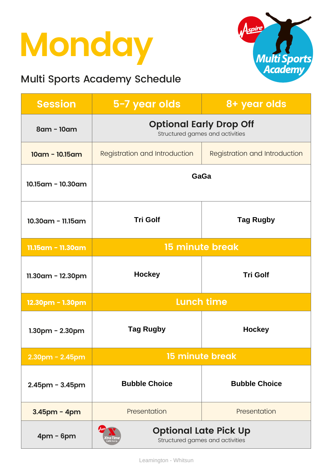### **Monday**

### Multi Sports Academy Schedule



| <b>Session</b>        | 5-7 year olds                                                     | 8+ year olds                         |
|-----------------------|-------------------------------------------------------------------|--------------------------------------|
| 8am - 10am            | <b>Optional Early Drop Off</b><br>Structured games and activities |                                      |
| $10am - 10.15am$      | Registration and Introduction                                     | <b>Registration and Introduction</b> |
| 10.15am - 10.30am     | GaGa                                                              |                                      |
| 10.30am - 11.15am     | <b>Tri Golf</b>                                                   | <b>Tag Rugby</b>                     |
| 11.15am - 11.30am     | <b>15 minute break</b>                                            |                                      |
| $11.30$ am - 12.30pm  | <b>Hockey</b>                                                     | <b>Tri Golf</b>                      |
| 12.30pm - 1.30pm      | <b>Lunch time</b>                                                 |                                      |
| $1.30$ pm - $2.30$ pm | <b>Tag Rugby</b>                                                  | <b>Hockey</b>                        |
| $2.30$ pm - $2.45$ pm | <b>15 minute break</b>                                            |                                      |
| $2.45$ pm - $3.45$ pm | <b>Bubble Choice</b>                                              | <b>Bubble Choice</b>                 |
| $3.45$ pm - 4pm       | Presentation                                                      | Presentation                         |
| $4pm - 6pm$           | <b>Optional Late Pick Up</b><br>Structured games and activities   |                                      |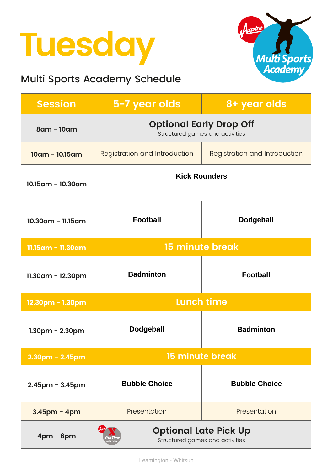# **Tuesday**

### Multi Sports Academy Schedule



| <b>Session</b>          | 5-7 year olds                                                     | 8+ year olds                         |
|-------------------------|-------------------------------------------------------------------|--------------------------------------|
| $8$ am - 10am           | <b>Optional Early Drop Off</b><br>Structured games and activities |                                      |
| $10am - 10.15am$        | <b>Registration and Introduction</b>                              | <b>Registration and Introduction</b> |
| $10.15$ am - $10.30$ am | <b>Kick Rounders</b>                                              |                                      |
| 10.30am - 11.15am       | <b>Football</b>                                                   | <b>Dodgeball</b>                     |
| 11.15am - 11.30am       | <b>15 minute break</b>                                            |                                      |
| 11.30am - 12.30pm       | <b>Badminton</b>                                                  | <b>Football</b>                      |
| 12.30pm - 1.30pm        | <b>Lunch time</b>                                                 |                                      |
| $1.30pm - 2.30pm$       | <b>Dodgeball</b>                                                  | <b>Badminton</b>                     |
| $2.30$ pm - $2.45$ pm   | <b>15 minute break</b>                                            |                                      |
| $2.45$ pm - $3.45$ pm   | <b>Bubble Choice</b>                                              | <b>Bubble Choice</b>                 |
| $3.45$ pm - 4pm         | Presentation                                                      | Presentation                         |
| $4pm - 6pm$             | <b>Optional Late Pick Up</b><br>Structured games and activities   |                                      |